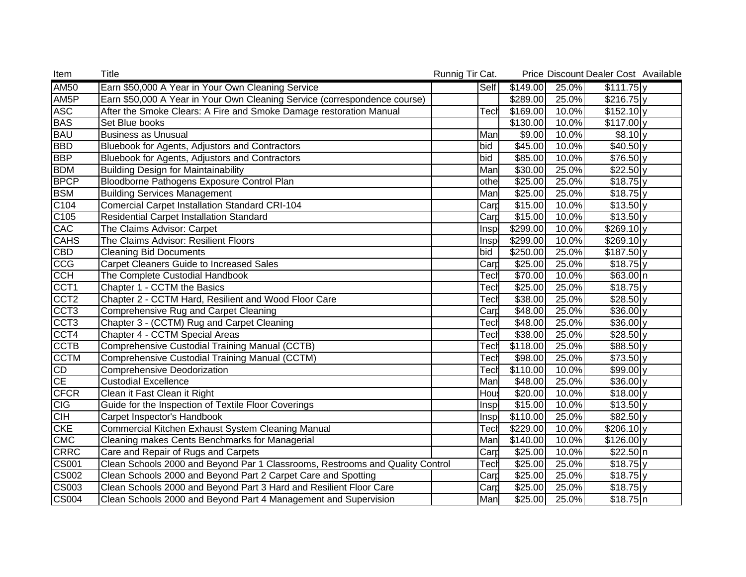| Item                      | Title                                                                         | Runnig Tir Cat.          |                      |       | Price Discount Dealer Cost Available |  |
|---------------------------|-------------------------------------------------------------------------------|--------------------------|----------------------|-------|--------------------------------------|--|
| <b>AM50</b>               | Earn \$50,000 A Year in Your Own Cleaning Service                             | Self                     | \$149.00             | 25.0% | $$111.75$ y                          |  |
| AM <sub>5</sub> P         | Earn \$50,000 A Year in Your Own Cleaning Service (correspondence course)     |                          | \$289.00             | 25.0% | $$216.75$ y                          |  |
| <b>ASC</b>                | After the Smoke Clears: A Fire and Smoke Damage restoration Manual            | Tecł                     | \$169.00             | 10.0% | $$152.10$ y                          |  |
| <b>BAS</b>                | Set Blue books                                                                |                          | \$130.00             | 10.0% | $\sqrt{$117.00}$ y                   |  |
| <b>BAU</b>                | <b>Business as Unusual</b>                                                    | Man                      | \$9.00               | 10.0% | $$8.10$ y                            |  |
| <b>BBD</b>                | Bluebook for Agents, Adjustors and Contractors                                | bid                      | \$45.00              | 10.0% | $$40.50$ <sub>y</sub>                |  |
| <b>BBP</b>                | Bluebook for Agents, Adjustors and Contractors                                | bid                      | \$85.00              | 10.0% | $$76.50$ <sub>y</sub>                |  |
| <b>BDM</b>                | <b>Building Design for Maintainability</b>                                    | Man                      | \$30.00              | 25.0% | $$22.50 \text{ y}$                   |  |
| <b>BPCP</b>               | Bloodborne Pathogens Exposure Control Plan                                    | othe                     | \$25.00              | 25.0% | $$18.75$ y                           |  |
| <b>BSM</b>                | <b>Building Services Management</b>                                           | Man                      | \$25.00              | 25.0% | $$18.75$ y                           |  |
| $\overline{C104}$         | <b>Comercial Carpet Installation Standard CRI-104</b>                         | $\overline{\text{Card}}$ | \$15.00              | 10.0% | $$13.50$ y                           |  |
| C105                      | Residential Carpet Installation Standard                                      | Carp                     | \$15.00              | 10.0% | $$13.50$ y                           |  |
| CAC                       | The Claims Advisor: Carpet                                                    | Insp                     | \$299.00             | 10.0% | \$269.10 y                           |  |
| <b>CAHS</b>               | The Claims Advisor: Resilient Floors                                          | Inspl                    | \$299.00             | 10.0% | $$269.10$ <sub>y</sub>               |  |
| CBD                       | <b>Cleaning Bid Documents</b>                                                 | bid                      | \$250.00             | 25.0% | $$187.50$ y                          |  |
| <b>CCG</b>                | Carpet Cleaners Guide to Increased Sales                                      | $\mathsf{Card}$          | \$25.00              | 25.0% | $$18.75$ y                           |  |
| <b>CCH</b>                | The Complete Custodial Handbook                                               | Tech                     | \$70.00              | 10.0% | \$63.00 n                            |  |
| CCT <sub>1</sub>          | Chapter 1 - CCTM the Basics                                                   | Tech                     | \$25.00              | 25.0% | $$18.75$ y                           |  |
| CCT <sub>2</sub>          | Chapter 2 - CCTM Hard, Resilient and Wood Floor Care                          | Tecł                     | \$38.00              | 25.0% | $$28.50$ y                           |  |
| CCT <sub>3</sub>          | Comprehensive Rug and Carpet Cleaning                                         | Card                     | \$48.00              | 25.0% | $$36.00$ y                           |  |
| CCT <sub>3</sub>          | Chapter 3 - (CCTM) Rug and Carpet Cleaning                                    | <b>Tech</b>              | \$48.00              | 25.0% | $$36.00$ y                           |  |
| CCT4                      | Chapter 4 - CCTM Special Areas                                                | Tech                     | \$38.00              | 25.0% | $$28.50$ y                           |  |
| <b>CCTB</b>               | Comprehensive Custodial Training Manual (CCTB)                                | <b>Tech</b>              | \$118.00             | 25.0% | $$88.50$ y                           |  |
| <b>CCTM</b>               | Comprehensive Custodial Training Manual (CCTM)                                | Tecł                     | \$98.00              | 25.0% | $$73.50$ y                           |  |
| CD                        | Comprehensive Deodorization                                                   | Tech                     | $\overline{$}110.00$ | 10.0% | $$99.00$ y                           |  |
| <b>CE</b>                 | <b>Custodial Excellence</b>                                                   | Man                      | \$48.00              | 25.0% | $$36.00$ y                           |  |
| <b>CFCR</b>               | Clean it Fast Clean it Right                                                  | Hous                     | \$20.00              | 10.0% | $$18.00$ y                           |  |
| <b>CIG</b>                | Guide for the Inspection of Textile Floor Coverings                           | <b>Insp</b>              | \$15.00              | 10.0% | $$13.50$ y                           |  |
| <b>CIH</b>                | Carpet Inspector's Handbook                                                   | Insp                     | \$110.00             | 25.0% | $$82.50$ y                           |  |
| <b>CKE</b>                | Commercial Kitchen Exhaust System Cleaning Manual                             | Tech                     | \$229.00             | 10.0% | $$206.10 \text{ y}$                  |  |
| <b>CMC</b>                | Cleaning makes Cents Benchmarks for Managerial                                | Man                      | \$140.00             | 10.0% | $$126.00$ <sub>y</sub>               |  |
| <b>CRRC</b>               | Care and Repair of Rugs and Carpets                                           | $\mathsf{Card}$          | \$25.00              | 10.0% | \$22.50 n                            |  |
| $\overline{\text{CS001}}$ | Clean Schools 2000 and Beyond Par 1 Classrooms, Restrooms and Quality Control | Tech                     | \$25.00              | 25.0% | $$18.75$ y                           |  |
| CS002                     | Clean Schools 2000 and Beyond Part 2 Carpet Care and Spotting                 | $\mathsf{Card}$          | \$25.00              | 25.0% | $$18.75$ y                           |  |
| CS003                     | Clean Schools 2000 and Beyond Part 3 Hard and Resilient Floor Care            | $\mathsf{Card}$          | \$25.00              | 25.0% | \$18.75]y                            |  |
| <b>CS004</b>              | Clean Schools 2000 and Beyond Part 4 Management and Supervision               | Man                      | \$25.00              | 25.0% | $$18.75$ n                           |  |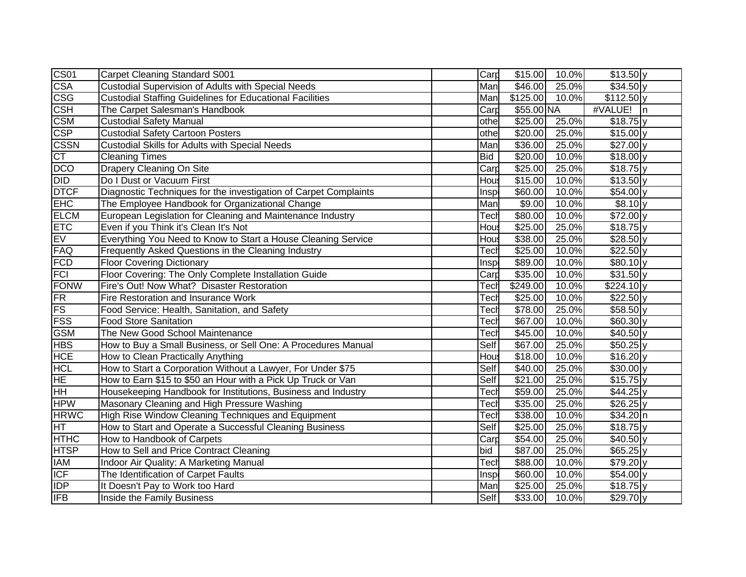| CS01                    | <b>Carpet Cleaning Standard S001</b>                             | Card       | \$15.00          | 10.0% | $\sqrt{$13.50}$ y     |  |
|-------------------------|------------------------------------------------------------------|------------|------------------|-------|-----------------------|--|
| <b>CSA</b>              | Custodial Supervision of Adults with Special Needs               | Man        | \$46.00          | 25.0% | $$34.50$ <sub>y</sub> |  |
| $\overline{\text{csg}}$ | <b>Custodial Staffing Guidelines for Educational Facilities</b>  | Man        | \$125.00         | 10.0% | $$112.50$ y           |  |
| <b>CSH</b>              | The Carpet Salesman's Handbook                                   | Card       | \$55.00 NA       |       | #VALUE! n             |  |
| <b>CSM</b>              | <b>Custodial Safety Manual</b>                                   | othe       | \$25.00          | 25.0% | $$18.75$ y            |  |
| <b>CSP</b>              | <b>Custodial Safety Cartoon Posters</b>                          | othe       | \$20.00          | 25.0% | $$15.00$ <sub>y</sub> |  |
| <b>CSSN</b>             | <b>Custodial Skills for Adults with Special Needs</b>            | Man        | \$36.00          | 25.0% | $$27.00$ y            |  |
| <b>CT</b>               | <b>Cleaning Times</b>                                            | <b>Bid</b> | \$20.00          | 10.0% | $$18.00$ y            |  |
| <b>DCO</b>              | Drapery Cleaning On Site                                         | Card       | \$25.00          | 25.0% | $$18.75$ y            |  |
| <b>DID</b>              | Do I Dust or Vacuum First                                        | Hou:       | \$15.00          | 10.0% | $$13.50$ y            |  |
| <b>DTCF</b>             | Diagnostic Techniques for the investigation of Carpet Complaints | Insp       | \$60.00          | 10.0% | $$54.00$ y            |  |
| <b>EHC</b>              | The Employee Handbook for Organizational Change                  | Man        | \$9.00           | 10.0% | $$8.10$ y             |  |
| <b>ELCM</b>             | European Legislation for Cleaning and Maintenance Industry       | Tech       | \$80.00          | 10.0% | $$72.00$ <sub>y</sub> |  |
| <b>ETC</b>              | Even if you Think it's Clean It's Not                            | Hous       | \$25.00          | 25.0% | $$18.75$ y            |  |
| EV                      | Everything You Need to Know to Start a House Cleaning Service    | Hous       | \$38.00          | 25.0% | $$28.50$ y            |  |
| FAQ                     | Frequently Asked Questions in the Cleaning Industry              | Tecł       | \$25.00          | 10.0% | $$22.50$ <sub>y</sub> |  |
| <b>FCD</b>              | <b>Floor Covering Dictionary</b>                                 | Insp       | \$89.00          | 10.0% | $$80.10$ y            |  |
| <b>FCI</b>              | Floor Covering: The Only Complete Installation Guide             | Card       | \$35.00          | 10.0% | $$31.50$ y            |  |
| <b>FONW</b>             | Fire's Out! Now What? Disaster Restoration                       | Tech       | $\sqrt{$249.00}$ | 10.0% | $$224.10$ y           |  |
| FR                      | Fire Restoration and Insurance Work                              | Tech       | \$25.00          | 10.0% | $$22.50$ y            |  |
| <b>FS</b>               | Food Service: Health, Sanitation, and Safety                     | Tech       | \$78.00          | 25.0% | $$58.50$ <sub>y</sub> |  |
| <b>FSS</b>              | <b>Food Store Sanitation</b>                                     | Tech       | \$67.00          | 10.0% | $$60.30$ y            |  |
| <b>GSM</b>              | The New Good School Maintenance                                  | Tech       | \$45.00          | 10.0% | $$40.50$ y            |  |
| <b>HBS</b>              | How to Buy a Small Business, or Sell One: A Procedures Manual    | Self       | \$67.00          | 25.0% | $$50.25$ y            |  |
| <b>HCE</b>              | How to Clean Practically Anything                                | Hous       | \$18.00          | 10.0% | $$16.20$ <sub>y</sub> |  |
| <b>HCL</b>              | How to Start a Corporation Without a Lawyer, For Under \$75      | Self       | \$40.00          | 25.0% | $$30.00$ y            |  |
| HE                      | How to Earn \$15 to \$50 an Hour with a Pick Up Truck or Van     | Self       | \$21.00          | 25.0% | $$15.75$ y            |  |
| HН                      | Housekeeping Handbook for Institutions, Business and Industry    | Tech       | \$59.00          | 25.0% | $$44.25$ y            |  |
| <b>HPW</b>              | Masonary Cleaning and High Pressure Washing                      | Tech       | \$35.00          | 25.0% | $$26.25$ y            |  |
| <b>HRWC</b>             | High Rise Window Cleaning Techniques and Equipment               | Tech       | \$38.00          | 10.0% | \$34.20 n             |  |
| HT                      | How to Start and Operate a Successful Cleaning Business          | Self       | \$25.00          | 25.0% | $$18.75$ y            |  |
| <b>HTHC</b>             | How to Handbook of Carpets                                       | Card       | \$54.00          | 25.0% | $$40.50$ y            |  |
| <b>HTSP</b>             | How to Sell and Price Contract Cleaning                          | bid        | \$87.00          | 25.0% | $$65.25$ y            |  |
| <b>IAM</b>              | Indoor Air Quality: A Marketing Manual                           | Tech       | \$88.00          | 10.0% | $$79.20$ y            |  |
| ICF                     | The Identification of Carpet Faults                              | Insp       | \$60.00          | 10.0% | $$54.00$ <sub>y</sub> |  |
| <b>IDP</b>              | It Doesn't Pay to Work too Hard                                  | Man        | \$25.00          | 25.0% | $$18.75$ y            |  |
| <b>IFB</b>              | Inside the Family Business                                       | Self       | \$33.00          | 10.0% | $$29.70$ <sub>y</sub> |  |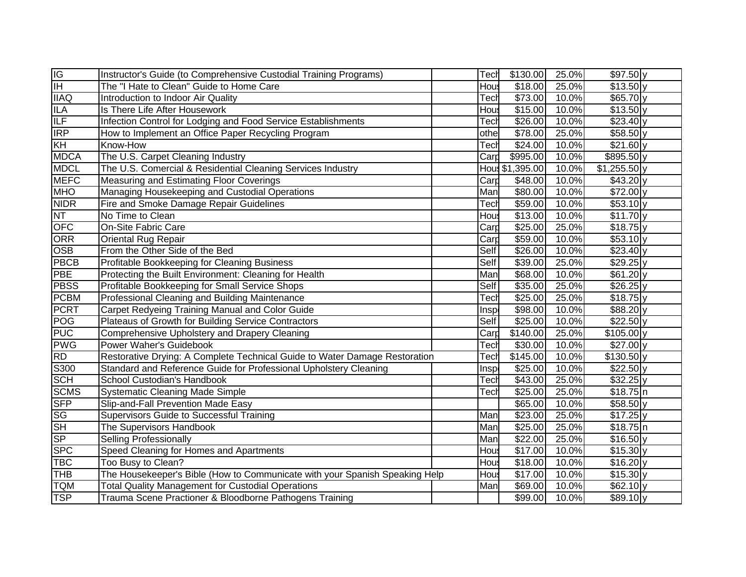| $\frac{1G}{1H}$ | Instructor's Guide (to Comprehensive Custodial Training Programs)           | Tech        | \$130.00        | 25.0% | $$97.50$ y            |
|-----------------|-----------------------------------------------------------------------------|-------------|-----------------|-------|-----------------------|
|                 | The "I Hate to Clean" Guide to Home Care                                    | Hou:        | \$18.00         | 25.0% | $$13.50$ y            |
| <b>IIAQ</b>     | Introduction to Indoor Air Quality                                          | Tech        | \$73.00         | 10.0% | \$65.70y              |
| <b>ILA</b>      | Is There Life After Housework                                               | Hou:        | \$15.00         | 10.0% | \$13.50 y             |
| <b>ILF</b>      | Infection Control for Lodging and Food Service Establishments               | Tech        | \$26.00         | 10.0% | $$23.40$ y            |
| <b>IRP</b>      | How to Implement an Office Paper Recycling Program                          | othe        | \$78.00         | 25.0% | $$58.50$ y            |
| KH              | Know-How                                                                    | Tech        | \$24.00         | 10.0% | $$21.60$ y            |
| <b>MDCA</b>     | The U.S. Carpet Cleaning Industry                                           | Card        | \$995.00        | 10.0% | $$895.50$ y           |
| <b>MDCL</b>     | The U.S. Comercial & Residential Cleaning Services Industry                 |             | Hou: \$1,395.00 | 10.0% | $$1,255.50$ y         |
| <b>MEFC</b>     | Measuring and Estimating Floor Coverings                                    | Card        | \$48.00         | 10.0% | $$43.20$ <sub>y</sub> |
| <b>MHO</b>      | Managing Housekeeping and Custodial Operations                              | Man         | \$80.00         | 10.0% | $$72.00$ <sub>y</sub> |
| <b>NIDR</b>     | Fire and Smoke Damage Repair Guidelines                                     | Tech        | \$59.00         | 10.0% | $$53.10$ <sub>y</sub> |
| <b>NT</b>       | No Time to Clean                                                            | Hous        | \$13.00         | 10.0% | $$11.70$ y            |
| <b>OFC</b>      | On-Site Fabric Care                                                         | Card        | \$25.00         | 25.0% | $$18.75$ y            |
| ORR             | <b>Oriental Rug Repair</b>                                                  | Card        | \$59.00         | 10.0% | $$53.10$ <sub>y</sub> |
| <b>OSB</b>      | From the Other Side of the Bed                                              | Self        | \$26.00         | 10.0% | $$23.40$ y            |
| <b>PBCB</b>     | Profitable Bookkeeping for Cleaning Business                                | Self        | \$39.00         | 25.0% | $$29.25$ y            |
| <b>PBE</b>      | Protecting the Built Environment: Cleaning for Health                       | Man         | \$68.00         | 10.0% | $$61.20$ <sub>y</sub> |
| <b>PBSS</b>     | Profitable Bookkeeping for Small Service Shops                              | Self        | \$35.00         | 25.0% | $$26.25$ y            |
| <b>PCBM</b>     | Professional Cleaning and Building Maintenance                              | Tecł        | \$25.00         | 25.0% | \$18.75]y             |
| <b>PCRT</b>     | Carpet Redyeing Training Manual and Color Guide                             | Insp        | \$98.00         | 10.0% | \$88.20y              |
| POG             | Plateaus of Growth for Building Service Contractors                         | Self        | \$25.00         | 10.0% | \$22.50y              |
| <b>PUC</b>      | Comprehensive Upholstery and Drapery Cleaning                               | Card        | \$140.00        | 25.0% | $$105.00$ y           |
| <b>PWG</b>      | Power Waher's Guidebook                                                     | Tech        | \$30.00         | 10.0% | $\sqrt{$27.00y}$      |
| <b>RD</b>       | Restorative Drying: A Complete Technical Guide to Water Damage Restoration  | <b>Tech</b> | \$145.00        | 10.0% | \$130.50 y            |
| S300            | Standard and Reference Guide for Professional Upholstery Cleaning           | Insp        | \$25.00         | 10.0% | $$22.50$ y            |
| <b>SCH</b>      | School Custodian's Handbook                                                 | Tech        | \$43.00         | 25.0% | $$32.25$ y            |
| <b>SCMS</b>     | <b>Systematic Cleaning Made Simple</b>                                      | Tecł        | \$25.00         | 25.0% | \$18.75]n             |
| <b>SFP</b>      | Slip-and-Fall Prevention Made Easy                                          |             | \$65.00         | 10.0% | $$58.50$ y            |
| <b>SG</b>       | Supervisors Guide to Successful Training                                    | Man         | \$23.00         | 25.0% | $$17.25$ y            |
| SH              | The Supervisors Handbook                                                    | Man         | \$25.00         | 25.0% | \$18.75]n             |
| <b>SP</b>       | <b>Selling Professionally</b>                                               | Man         | \$22.00         | 25.0% | \$16.50 y             |
| <b>SPC</b>      | Speed Cleaning for Homes and Apartments                                     | Hou:        | \$17.00         | 10.0% | \$15.30 y             |
| <b>TBC</b>      | Too Busy to Clean?                                                          | Hou:        | \$18.00         | 10.0% | $$16.20 \text{ y}$    |
| <b>THB</b>      | The Housekeeper's Bible (How to Communicate with your Spanish Speaking Help | Hou:        | \$17.00         | 10.0% | \$15.30 y             |
| <b>TQM</b>      | <b>Total Quality Management for Custodial Operations</b>                    | Man         | \$69.00         | 10.0% | $$62.10$ <sub>y</sub> |
| <b>TSP</b>      | Trauma Scene Practioner & Bloodborne Pathogens Training                     |             | \$99.00         | 10.0% | $$89.10$ <sub>y</sub> |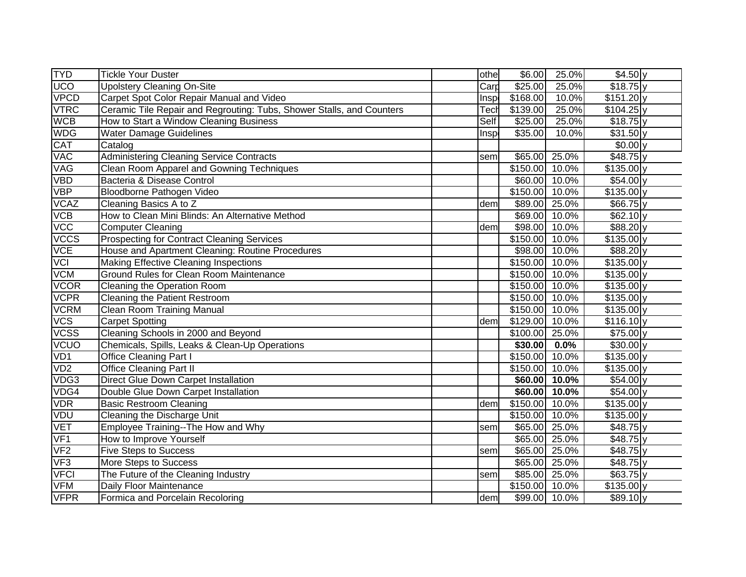| <b>TYD</b>  | <b>Tickle Your Duster</b>                                             | othe | \$6.00                     | 25.0%         | \$4.50y               |  |
|-------------|-----------------------------------------------------------------------|------|----------------------------|---------------|-----------------------|--|
| UCO         | <b>Upolstery Cleaning On-Site</b>                                     | Carp | \$25.00                    | 25.0%         | $$18.75$ y            |  |
| <b>VPCD</b> | Carpet Spot Color Repair Manual and Video                             | Insp | \$168.00                   | 10.0%         | $$151.20$ y           |  |
| <b>VTRC</b> | Ceramic Tile Repair and Regrouting: Tubs, Shower Stalls, and Counters | Tecł | \$139.00                   | 25.0%         | $$104.25$ y           |  |
| <b>WCB</b>  | How to Start a Window Cleaning Business                               | Self | \$25.00                    | 25.0%         | \$18.75]y             |  |
| <b>WDG</b>  | <b>Water Damage Guidelines</b>                                        | Insp | \$35.00                    | 10.0%         | $$31.50$ <sub>V</sub> |  |
| <b>CAT</b>  | Catalog                                                               |      |                            |               | $$0.00$ <sub>y</sub>  |  |
| <b>VAC</b>  | <b>Administering Cleaning Service Contracts</b>                       | seml | \$65.00                    | 25.0%         | $$48.75$ y            |  |
| <b>VAG</b>  | Clean Room Apparel and Gowning Techniques                             |      | \$150.00                   | 10.0%         | $$135.00$ y           |  |
| <b>VBD</b>  | Bacteria & Disease Control                                            |      |                            | \$60.00 10.0% | $$54.00$ y            |  |
| <b>VBP</b>  | Bloodborne Pathogen Video                                             |      | \$150.00 10.0%             |               | $$135.00$ y           |  |
| <b>VCAZ</b> | Cleaning Basics A to Z                                                | dem  |                            | \$89.00 25.0% | $$66.75$ y            |  |
| <b>VCB</b>  | How to Clean Mini Blinds: An Alternative Method                       |      |                            | \$69.00 10.0% | \$62.10 y             |  |
| <b>VCC</b>  | <b>Computer Cleaning</b>                                              | dem  |                            | \$98.00 10.0% | \$88.20 y             |  |
| <b>VCCS</b> | <b>Prospecting for Contract Cleaning Services</b>                     |      | \$150.00 10.0%             |               | \$135.00 y            |  |
| <b>VCE</b>  | House and Apartment Cleaning: Routine Procedures                      |      |                            | \$98.00 10.0% | $$88.20 \text{ y}$    |  |
| <b>VCI</b>  | <b>Making Effective Cleaning Inspections</b>                          |      | \$150.00 10.0%             |               | $$135.00$ y           |  |
| <b>VCM</b>  | Ground Rules for Clean Room Maintenance                               |      | \$150.00 10.0%             |               | \$135.00 y            |  |
| <b>VCOR</b> | Cleaning the Operation Room                                           |      | \$150.00 10.0%             |               | \$135.00 y            |  |
| <b>VCPR</b> | <b>Cleaning the Patient Restroom</b>                                  |      | $\overline{$150.00}$ 10.0% |               | \$135.00 y            |  |
| <b>VCRM</b> | <b>Clean Room Training Manual</b>                                     |      | $$150.00$ 10.0%            |               | \$135.00 y            |  |
| <b>VCS</b>  | <b>Carpet Spotting</b>                                                | dem  | \$129.00 10.0%             |               | $$116.10 \text{ y}$   |  |
| <b>VCSS</b> | Cleaning Schools in 2000 and Beyond                                   |      | \$100.00 25.0%             |               | \$75.00 y             |  |
| VCUO        | Chemicals, Spills, Leaks & Clean-Up Operations                        |      | \$30.00                    | 0.0%          | $\overline{$}30.00$ y |  |
| VD1         | <b>Office Cleaning Part I</b>                                         |      | \$150.00                   | 10.0%         | \$135.00 y            |  |
| VD2         | <b>Office Cleaning Part II</b>                                        |      | \$150.00 10.0%             |               | \$135.00 y            |  |
| VDG3        | <b>Direct Glue Down Carpet Installation</b>                           |      |                            | \$60.00 10.0% | $$54.00$ y            |  |
| VDG4        | Double Glue Down Carpet Installation                                  |      |                            | \$60.00 10.0% | \$54.00 y             |  |
| <b>VDR</b>  | <b>Basic Restroom Cleaning</b>                                        | dem  | \$150.00                   | 10.0%         | \$135.00 y            |  |
| <b>VDU</b>  | Cleaning the Discharge Unit                                           |      | \$150.00                   | 10.0%         | \$135.00 y            |  |
| <b>VET</b>  | Employee Training--The How and Why                                    | sem  | \$65.00                    | 25.0%         | $$48.75$ y            |  |
| VF1         | How to Improve Yourself                                               |      | \$65.00                    | 25.0%         | $$48.75$ y            |  |
| VF2         | <b>Five Steps to Success</b>                                          | sem  | \$65.00                    | 25.0%         | $$48.75$ y            |  |
| VF3         | More Steps to Success                                                 |      | \$65.00                    | 25.0%         | $$48.75$ y            |  |
| <b>VFCI</b> | The Future of the Cleaning Industry                                   | sem  | \$85.00                    | 25.0%         | $$63.75$ y            |  |
| VFM         | Daily Floor Maintenance                                               |      | \$150.00                   | 10.0%         | $$135.00$ y           |  |
| <b>VFPR</b> | Formica and Porcelain Recoloring                                      | dem  |                            | \$99.00 10.0% | $$89.10$ <sub>y</sub> |  |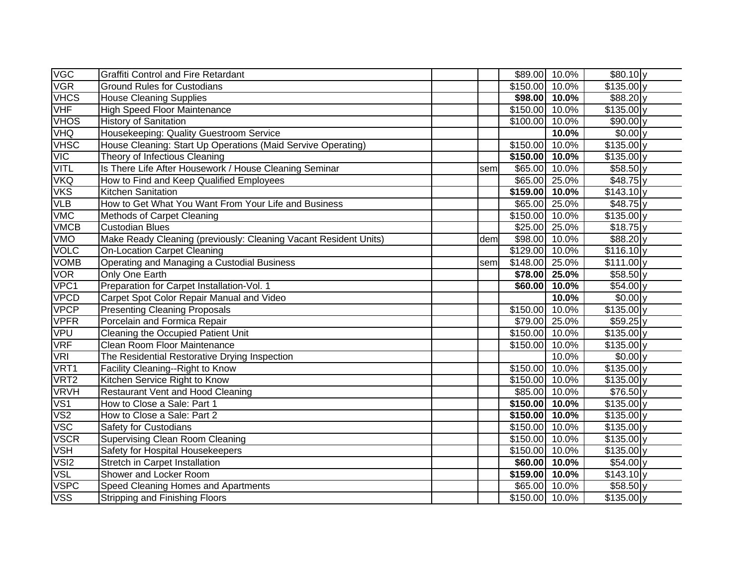| <b>VGC</b>       | <b>Graffiti Control and Fire Retardant</b>                       |      |                    | \$89.00 10.0% | $$80.10$ <sub>y</sub> |  |
|------------------|------------------------------------------------------------------|------|--------------------|---------------|-----------------------|--|
| <b>VGR</b>       | <b>Ground Rules for Custodians</b>                               |      | \$150.00 10.0%     |               | $$135.00$ y           |  |
| <b>VHCS</b>      | <b>House Cleaning Supplies</b>                                   |      |                    | \$98.00 10.0% | \$88.20 y             |  |
| <b>VHF</b>       | <b>High Speed Floor Maintenance</b>                              |      | \$150.00 10.0%     |               | $$135.00$ y           |  |
| <b>VHOS</b>      | <b>History of Sanitation</b>                                     |      | \$100.00 10.0%     |               | $$90.00$ y            |  |
| <b>VHQ</b>       | Housekeeping: Quality Guestroom Service                          |      |                    | 10.0%         | $$0.00$ <sub>y</sub>  |  |
| <b>VHSC</b>      | House Cleaning: Start Up Operations (Maid Servive Operating)     |      | \$150.00           | 10.0%         | $$135.00$ y           |  |
| VIC              | Theory of Infectious Cleaning                                    |      | \$150.00 10.0%     |               | $$135.00$ y           |  |
| VITL             | Is There Life After Housework / House Cleaning Seminar           | seml |                    | \$65.00 10.0% | \$58.50y              |  |
| VKQ              | How to Find and Keep Qualified Employees                         |      |                    | \$65.00 25.0% | $$48.75$ y            |  |
| <b>VKS</b>       | <b>Kitchen Sanitation</b>                                        |      | $$159.00$ 10.0%    |               | $$143.10 \text{ y}$   |  |
| VLB              | How to Get What You Want From Your Life and Business             |      |                    | \$65.00 25.0% | $$48.75$ y            |  |
| VMC              | Methods of Carpet Cleaning                                       |      | \$150.00 10.0%     |               | $$135.00$ y           |  |
| <b>VMCB</b>      | <b>Custodian Blues</b>                                           |      |                    | \$25.00 25.0% | $$18.75$ y            |  |
| VMO              | Make Ready Cleaning (previously: Cleaning Vacant Resident Units) | dem  |                    | \$98.00 10.0% | \$88.20 y             |  |
| VOLC             | <b>On-Location Carpet Cleaning</b>                               |      | \$129.00 10.0%     |               | $$116.10 \text{ y}$   |  |
| <b>VOMB</b>      | Operating and Managing a Custodial Business                      | seml | \$148.00 25.0%     |               | \$111.00 y            |  |
| <b>VOR</b>       | Only One Earth                                                   |      |                    | \$78.00 25.0% | \$58.50 y             |  |
| VPC1             | Preparation for Carpet Installation-Vol. 1                       |      |                    | \$60.00 10.0% | \$54.00 y             |  |
| <b>VPCD</b>      | Carpet Spot Color Repair Manual and Video                        |      |                    | 10.0%         | $$0.00$ y             |  |
| <b>VPCP</b>      | <b>Presenting Cleaning Proposals</b>                             |      | \$150.00           | 10.0%         | \$135.00 y            |  |
| <b>VPFR</b>      | Porcelain and Formica Repair                                     |      |                    | \$79.00 25.0% | $$59.25$ y            |  |
| VPU              | Cleaning the Occupied Patient Unit                               |      | \$150.00 10.0%     |               | \$135.00 y            |  |
| <b>VRF</b>       | Clean Room Floor Maintenance                                     |      | \$150.00           | 10.0%         | $$135.00$ y           |  |
| VRI              | The Residential Restorative Drying Inspection                    |      |                    | 10.0%         | $$0.00$ y             |  |
| VRT1             | Facility Cleaning--Right to Know                                 |      | \$150.00           | 10.0%         | \$135.00 y            |  |
| VRT <sub>2</sub> | Kitchen Service Right to Know                                    |      | \$150.00 10.0%     |               | $$135.00$ y           |  |
| <b>VRVH</b>      | <b>Restaurant Vent and Hood Cleaning</b>                         |      |                    | \$85.00 10.0% | \$76.50 y             |  |
| VS1              | How to Close a Sale: Part 1                                      |      | $$150.00$ 10.0%    |               | \$135.00 y            |  |
| VS <sub>2</sub>  | How to Close a Sale: Part 2                                      |      | $$150.00$ 10.0%    |               | \$135.00 y            |  |
| <b>VSC</b>       | Safety for Custodians                                            |      | \$150.00 10.0%     |               | \$135.00 y            |  |
| <b>VSCR</b>      | <b>Supervising Clean Room Cleaning</b>                           |      | \$150.00 10.0%     |               | \$135.00 y            |  |
| <b>VSH</b>       | Safety for Hospital Housekeepers                                 |      | \$150.00 10.0%     |               | \$135.00 y            |  |
| VSI2             | Stretch in Carpet Installation                                   |      |                    | \$60.00 10.0% | $$54.00$ y            |  |
| <b>VSL</b>       | Shower and Locker Room                                           |      | \$159.00 10.0%     |               | $$143.10 \text{ y}$   |  |
| <b>VSPC</b>      | Speed Cleaning Homes and Apartments                              |      |                    | \$65.00 10.0% | \$58.50y              |  |
| <b>VSS</b>       | Stripping and Finishing Floors                                   |      | $$150.00$ $10.0\%$ |               | \$135.00 y            |  |